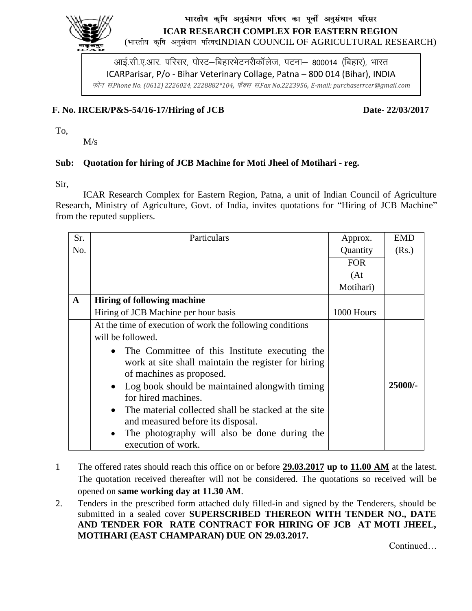

# भारतीय कृषि अनुसंधान परिषद का पूर्वी अनुसंधान परिसर **ICAR RESEARCH COMPLEX FOR EASTERN REGION**

(भारतीय कृषि अनुसंधान परिषदINDIAN COUNCIL OF AGRICULTURAL RESEARCH)

आई.सी.ए.आर. परिसर, पोस्ट–बिहारभेटनरीकॉलेज, पटना– 800014 (बिहार), भारत ICARParisar, P/o - Bihar Veterinary Collage, Patna – 800 014 (Bihar), INDIA Qksu la-*Phone No. (0612) 2226024, 2228882\*104,* QSDl la-*Fax No.2223956, E-mail: purchaserrcer@gmail.com*

#### **F. No. IRCER/P&S-54/16-17/Hiring of JCB Date- 22/03/2017**

To,

M/s

### **Sub: Quotation for hiring of JCB Machine for Moti Jheel of Motihari - reg.**

Sir,

ICAR Research Complex for Eastern Region, Patna, a unit of Indian Council of Agriculture Research, Ministry of Agriculture, Govt. of India, invites quotations for "Hiring of JCB Machine" from the reputed suppliers.

| Sr.          | Particulars                                                                                                                        | Approx.    | <b>EMD</b> |
|--------------|------------------------------------------------------------------------------------------------------------------------------------|------------|------------|
| No.          |                                                                                                                                    | Quantity   | (Rs.)      |
|              |                                                                                                                                    | <b>FOR</b> |            |
|              |                                                                                                                                    | (At)       |            |
|              |                                                                                                                                    | Motihari)  |            |
| $\mathbf{A}$ | <b>Hiring of following machine</b>                                                                                                 |            |            |
|              | Hiring of JCB Machine per hour basis                                                                                               | 1000 Hours |            |
|              | At the time of execution of work the following conditions                                                                          |            |            |
|              | will be followed.                                                                                                                  |            |            |
|              | • The Committee of this Institute executing the<br>work at site shall maintain the register for hiring<br>of machines as proposed. |            |            |
|              | Log book should be maintained along with timing<br>$\bullet$<br>for hired machines.                                                |            | 25000/-    |
|              | The material collected shall be stacked at the site<br>$\bullet$<br>and measured before its disposal.                              |            |            |
|              | The photography will also be done during the<br>$\bullet$<br>execution of work.                                                    |            |            |

- 1 The offered rates should reach this office on or before **29.03.2017 up to 11.00 AM** at the latest. The quotation received thereafter will not be considered. The quotations so received will be opened on **same working day at 11.30 AM**.
- 2. Tenders in the prescribed form attached duly filled-in and signed by the Tenderers, should be submitted in a sealed cover **SUPERSCRIBED THEREON WITH TENDER NO., DATE AND TENDER FOR RATE CONTRACT FOR HIRING OF JCB AT MOTI JHEEL, MOTIHARI (EAST CHAMPARAN) DUE ON 29.03.2017.**

Continued…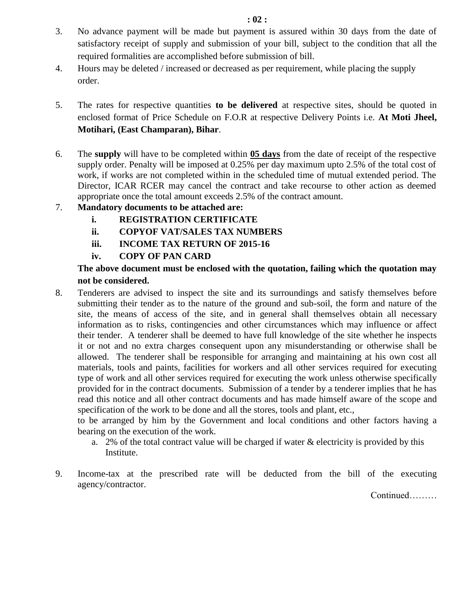- 3. No advance payment will be made but payment is assured within 30 days from the date of satisfactory receipt of supply and submission of your bill, subject to the condition that all the required formalities are accomplished before submission of bill.
- 4. Hours may be deleted / increased or decreased as per requirement, while placing the supply order.
- 5. The rates for respective quantities **to be delivered** at respective sites, should be quoted in enclosed format of Price Schedule on F.O.R at respective Delivery Points i.e. **At Moti Jheel, Motihari, (East Champaran), Bihar**.
- 6. The **supply** will have to be completed within **05 days** from the date of receipt of the respective supply order. Penalty will be imposed at 0.25% per day maximum upto 2.5% of the total cost of work, if works are not completed within in the scheduled time of mutual extended period. The Director, ICAR RCER may cancel the contract and take recourse to other action as deemed appropriate once the total amount exceeds 2.5% of the contract amount.

# 7. **Mandatory documents to be attached are:**

- **i. REGISTRATION CERTIFICATE**
- **ii. COPYOF VAT/SALES TAX NUMBERS**
- **iii. INCOME TAX RETURN OF 2015-16**
- **iv. COPY OF PAN CARD**

# **The above document must be enclosed with the quotation, failing which the quotation may not be considered.**

8. Tenderers are advised to inspect the site and its surroundings and satisfy themselves before submitting their tender as to the nature of the ground and sub-soil, the form and nature of the site, the means of access of the site, and in general shall themselves obtain all necessary information as to risks, contingencies and other circumstances which may influence or affect their tender. A tenderer shall be deemed to have full knowledge of the site whether he inspects it or not and no extra charges consequent upon any misunderstanding or otherwise shall be allowed. The tenderer shall be responsible for arranging and maintaining at his own cost all materials, tools and paints, facilities for workers and all other services required for executing type of work and all other services required for executing the work unless otherwise specifically provided for in the contract documents. Submission of a tender by a tenderer implies that he has read this notice and all other contract documents and has made himself aware of the scope and specification of the work to be done and all the stores, tools and plant, etc.,

to be arranged by him by the Government and local conditions and other factors having a bearing on the execution of the work.

- a. 2% of the total contract value will be charged if water  $\&$  electricity is provided by this Institute.
- 9. Income-tax at the prescribed rate will be deducted from the bill of the executing agency/contractor.

Continued………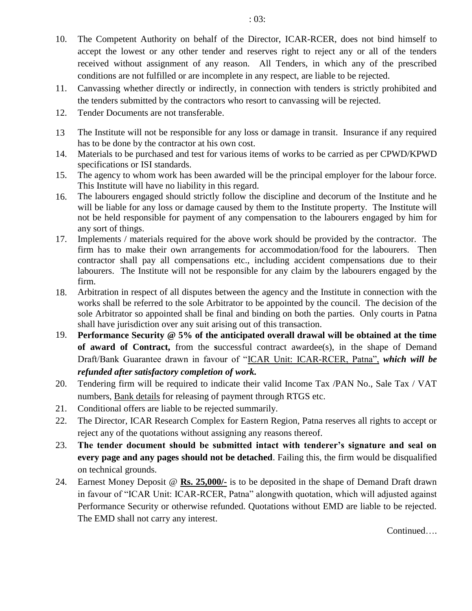10. The Competent Authority on behalf of the Director, ICAR-RCER, does not bind himself to accept the lowest or any other tender and reserves right to reject any or all of the tenders received without assignment of any reason. All Tenders, in which any of the prescribed conditions are not fulfilled or are incomplete in any respect, are liable to be rejected.

- 11. Canvassing whether directly or indirectly, in connection with tenders is strictly prohibited and the tenders submitted by the contractors who resort to canvassing will be rejected.
- 12. Tender Documents are not transferable.
- 13 The Institute will not be responsible for any loss or damage in transit. Insurance if any required has to be done by the contractor at his own cost.
- 14. Materials to be purchased and test for various items of works to be carried as per CPWD/KPWD specifications or ISI standards.
- 15. The agency to whom work has been awarded will be the principal employer for the labour force. This Institute will have no liability in this regard.
- 16. The labourers engaged should strictly follow the discipline and decorum of the Institute and he will be liable for any loss or damage caused by them to the Institute property. The Institute will not be held responsible for payment of any compensation to the labourers engaged by him for any sort of things.
- 17. Implements / materials required for the above work should be provided by the contractor. The firm has to make their own arrangements for accommodation/food for the labourers. Then contractor shall pay all compensations etc., including accident compensations due to their labourers. The Institute will not be responsible for any claim by the labourers engaged by the firm.
- 18. Arbitration in respect of all disputes between the agency and the Institute in connection with the works shall be referred to the sole Arbitrator to be appointed by the council. The decision of the sole Arbitrator so appointed shall be final and binding on both the parties. Only courts in Patna shall have jurisdiction over any suit arising out of this transaction.
- 19. **Performance Security @ 5% of the anticipated overall drawal will be obtained at the time of award of Contract,** from the **s**uccessful contract awardee(s), in the shape of Demand Draft/Bank Guarantee drawn in favour of "ICAR Unit: ICAR-RCER, Patna", *which will be refunded after satisfactory completion of work.*
- 20. Tendering firm will be required to indicate their valid Income Tax /PAN No., Sale Tax / VAT numbers, Bank details for releasing of payment through RTGS etc.
- 21. Conditional offers are liable to be rejected summarily.
- 22. The Director, ICAR Research Complex for Eastern Region, Patna reserves all rights to accept or reject any of the quotations without assigning any reasons thereof.
- 23. **The tender document should be submitted intact with tenderer's signature and seal on every page and any pages should not be detached**. Failing this, the firm would be disqualified on technical grounds.
- 24. Earnest Money Deposit @ **Rs. 25,000/-** is to be deposited in the shape of Demand Draft drawn in favour of "ICAR Unit: ICAR-RCER, Patna" alongwith quotation, which will adjusted against Performance Security or otherwise refunded. Quotations without EMD are liable to be rejected. The EMD shall not carry any interest.

Continued….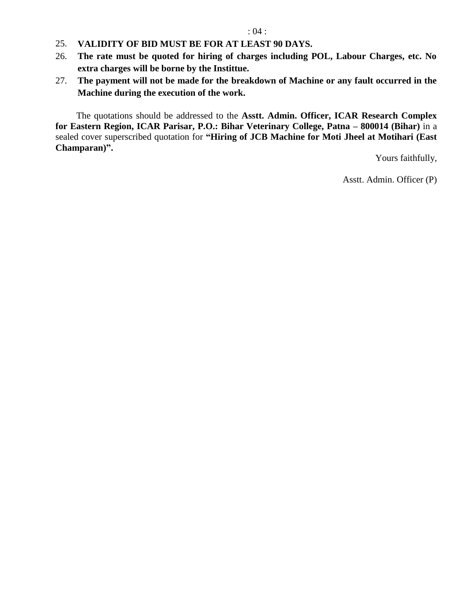- 25. **VALIDITY OF BID MUST BE FOR AT LEAST 90 DAYS.**
- 26. **The rate must be quoted for hiring of charges including POL, Labour Charges, etc. No extra charges will be borne by the Instittue.**
- 27. **The payment will not be made for the breakdown of Machine or any fault occurred in the Machine during the execution of the work.**

The quotations should be addressed to the **Asstt. Admin. Officer, ICAR Research Complex for Eastern Region, ICAR Parisar, P.O.: Bihar Veterinary College, Patna – 800014 (Bihar)** in a sealed cover superscribed quotation for **"Hiring of JCB Machine for Moti Jheel at Motihari (East Champaran)".**

Yours faithfully,

Asstt. Admin. Officer (P)